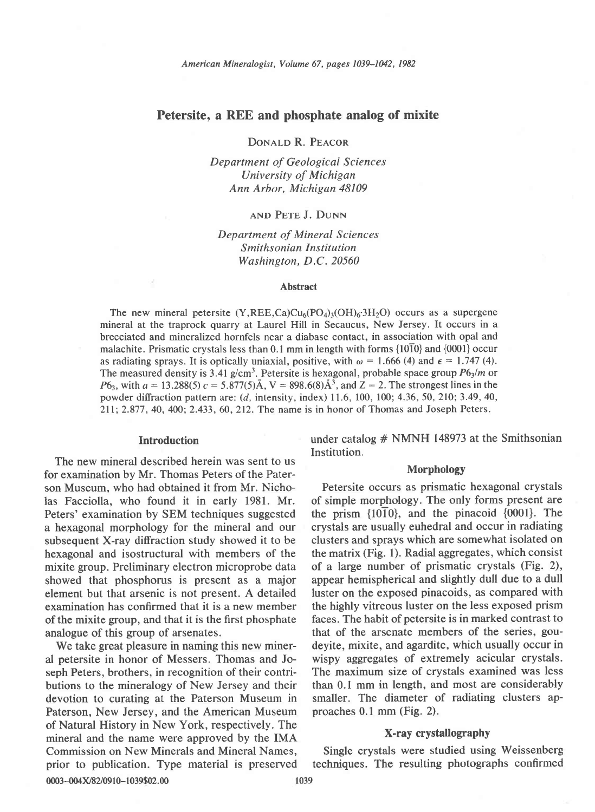# Petersite, a REE and phosphate analog of mixite

DONALD R. PEACOR

Department of Geological Sciences University of Michigan Ann Arbor, Michigan 48109

## and Pete J. DUNN

Department of Mineral Sciences Smithsonian Institution Washington, D.C.20560

#### Abstract

The new mineral petersite  $(Y,REE, Ca)Cu<sub>6</sub>(PO<sub>4</sub>)<sub>3</sub>(OH)<sub>6</sub>·3H<sub>2</sub>O)$  occurs as a supergene mineral at the traprock quarry at Laurel Hill in Secaucus, New Jersey. It occurs in a brecciated and mineralized hornfels near a diabase contact, in association with opal and malachite. Prismatic crystals less than  $0.1$  mm in length with forms  $\{10\overline{10}\}$  and  $\{0001\}$  occur as radiating sprays. It is optically uniaxial, positive, with  $\omega = 1.666$  (4) and  $\epsilon = 1.747$  (4). The measured density is 3.41 g/cm<sup>3</sup>. Petersite is hexagonal, probable space group  $P6<sub>3</sub>/m$  or  $P6_3$ , with  $a = 13.288(5)$   $c = 5.877(5)$ Å,  $V = 898.6(8)$ Å<sup>3</sup>, and  $Z = 2$ . The strongest lines in the powder diffraction pattern are: (d, intensity, index) I1.6, 100, 100; 4.36, 50, 210; 3.49,40, 2ll;2.877,40, 400; 2.433, 60,212. The name is in honor of Thomas and Joseph Peters.

## Introduction

The new mineral described herein was sent to us for examination by Mr. Thomas Peters of the Paterson Museum, who had obtained it from Mr. Nicholas Facciolla, who found it in early 1981. Mr. Peters' examination by SEM techniques suggested a hexagonal morphology for the mineral and our subsequent X-ray diffraction study showed it to be hexagonal and isostructural with members of the mixite group. Preliminary electron microprobe data showed that phosphorus is present as a major element but that arsenic is not present. A detailed examination has confirmed that it is a new member of the mixite group, and that it is the first phosphate analogue of this group of arsenates.

We take great pleasure in naming this new mineral petersite in honor of Messers. Thomas and Joseph Peters, brothers, in recognition of their contributions to the mineralogy of New Jersey and their devotion to curating at the Paterson Museum in Paterson, New Jersey, and the American Museum of Natural History in New York, respectively. The mineral and the name were approved by the IMA Commission on New Minerals and Mineral Names, prior to publication. Type material is preserved 0003-004X/82/0910-1039\$02.00 1039

under catalog  $#$  NMNH 148973 at the Smithsonian Institution.

#### Morphology

Petersite occurs as prismatic hexagonal crystals of simple morphology. The only forms present are the prism  $\{10\overline{1}0\}$ , and the pinacoid  $\{0001\}$ . The crystals are usually euhedral and occur in radiating clusters and sprays which are somewhat isolated on the matrix (Fig. 1). Radial aggregates, which consist of a large number of prismatic crystals (Fig. 2), appear hemispherical and slightly dull due to a dull luster on the exposed pinacoids, as compared with the highly vitreous luster on the less exposed prism faces. The habit of petersite is in marked contrast to that of the arsenate members of the series, goudeyite, mixite, and agardite, which usually occur in wispy aggregates of extremely acicular crystals. The maximum size of crystals examined was less than 0.1 mm in length, and most are considerably smaller. The diameter of radiating clusters approaches 0.1 mm (Fig. 2).

## X-ray crystallography

Single crystals were studied using Weissenberg techniques. The resulting photographs confirmed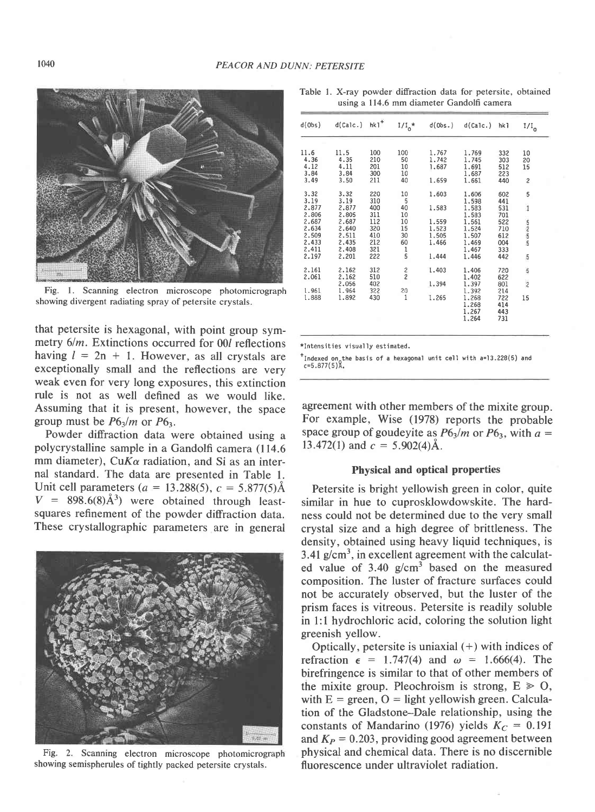

Fig. 1. Scanning electron microscope photomicrograph showing divergent radiating spray of petersite crystals.

that petersite is hexagonal, with point group symmetry  $6/m$ . Extinctions occurred for 00l reflections having  $l = 2n + 1$ . However, as all crystals are exceptionally small and the reflections are very weak even for very long exposures, this extinction rule is not as well defined as we would like. Assuming that it is present, however, the space group must be  $P6_3/m$  or  $P6_3$ .

Powder diffraction data were obtained using a polycrystalline sample in a Gandolfi camera (114.6) mm diameter), Cu $K\alpha$  radiation, and Si as an internal standard. The data are presented in Table 1. Unit cell parameters (a = 13.288(5), c = 5.877(5) $\AA$  $V = 898.6(8)\AA^{3}$  were obtained through leastsquares refinement of the powder diffraction data. These crystallographic parameters are in general



Fig. 2. Scanning electron microscope photomicrograph showing semispherules of tightly packed petersite crystals.

Table 1. X-ray powder diffraction data for petersite, obtained using a 114.6 mm diameter Gandolfi camera

| d(0bs) | d(Calc.) | $h k1$ <sup>+</sup> | $1/I_0*$      | d(Obs.) | d(Ca1c.) | hk <sub>1</sub> | $\rm _{I/I}$            |  |
|--------|----------|---------------------|---------------|---------|----------|-----------------|-------------------------|--|
|        |          |                     |               |         |          |                 |                         |  |
| 11.6   | 11.5     | 100                 | 100           | 1,767   | 1.769    | 332             | 10                      |  |
| 4.36   | 4.35     | 210                 | 50            | 1,742   | 1.745    | 303             | 20                      |  |
| 4.12   | 4.11     | 201                 | 10            | 1,687   | 1.691    | 512             | 15                      |  |
| 3.84   | 3.84     | 300                 | 10            |         | 1.687    | 223             |                         |  |
| 3.49   | 3.50     | 211                 | 40            | 1.659   | 1.661    | 440             | $\overline{\mathbf{c}}$ |  |
| 3.32   | 3.32     | 220                 | 10            | 1.603   | 1.606    | 602             | 5                       |  |
| 3.19   | 3.19     | 310                 | 5             |         | 1.598    | 441             |                         |  |
| 2.877  | 2,877    | 400                 | 40            | 1.583   | 1.583    | 531             | $\overline{1}$          |  |
| 2.806  | 2,805    | 311                 | 10            |         | 1.583    | 701             |                         |  |
| 2.687  | 2.687    | 112                 | 10            | 1.559   | 1.561    | 522             | ហ្គុលហ                  |  |
| 2.634  | 2.640    | 320                 | 15            | 1.523   | 1.524    | 710             |                         |  |
| 2.509  | 2.511    | 410                 | 30            | 1,505   | 1.507    | 612             |                         |  |
| 2.433  | 2.435    | 212                 | 60            | 1.466   | 1.469    | 004             |                         |  |
| 2.411  | 2.408    | 321                 | $\frac{1}{5}$ |         | 1.467    | 333             |                         |  |
| 2.197  | 2,201    | 222                 |               | 1.444   | 1.446    | 442             | 5                       |  |
| 2.161  | 2.162    | 312                 | $\frac{2}{2}$ | 1,403   | 1,406    | 720             | 5                       |  |
| 2.061  | 2.162    | 510                 |               |         | 1.402    | 622             |                         |  |
|        | 2.056    | 402                 |               | 1.394   | 1.397    | 801             | $\overline{2}$          |  |
| 1.961  | 1.964    | 322                 | 20            |         | 1.392    | 214             |                         |  |
| 1.888  | 1.892    | 430                 | 1             | 1.265   | 1.268    | 722             | 15                      |  |
|        |          |                     |               |         | 1.268    | 414             |                         |  |
|        |          |                     |               |         | 1.267    | 443             |                         |  |
|        |          |                     |               |         | 1,264    | 731             |                         |  |

\*Intensities visually estimated.

<sup>+</sup>Indexed on the basis of a hexagonal unit cell with a=13.228(5) and  $c=5.877(5)$ A.

agreement with other members of the mixite group. For example, Wise (1978) reports the probable space group of goudevite as  $P6_3/m$  or  $P6_3$ , with  $a =$ 13.472(1) and  $c = 5.902(4)$ Å.

#### **Physical and optical properties**

Petersite is bright yellowish green in color, quite similar in hue to cuprosklowdowskite. The hardness could not be determined due to the very small crystal size and a high degree of brittleness. The density, obtained using heavy liquid techniques, is 3.41  $g/cm<sup>3</sup>$ , in excellent agreement with the calculated value of  $3.40 \text{ g/cm}^3$  based on the measured composition. The luster of fracture surfaces could not be accurately observed, but the luster of the prism faces is vitreous. Petersite is readily soluble in 1:1 hydrochloric acid, coloring the solution light greenish yellow.

Optically, petersite is uniaxial  $(+)$  with indices of refraction  $\epsilon = 1.747(4)$  and  $\omega = 1.666(4)$ . The birefringence is similar to that of other members of the mixite group. Pleochroism is strong,  $E \ge 0$ , with  $E =$  green,  $O =$  light yellowish green. Calculation of the Gladstone-Dale relationship, using the constants of Mandarino (1976) yields  $K_C = 0.191$ and  $K_P = 0.203$ , providing good agreement between physical and chemical data. There is no discernible fluorescence under ultraviolet radiation.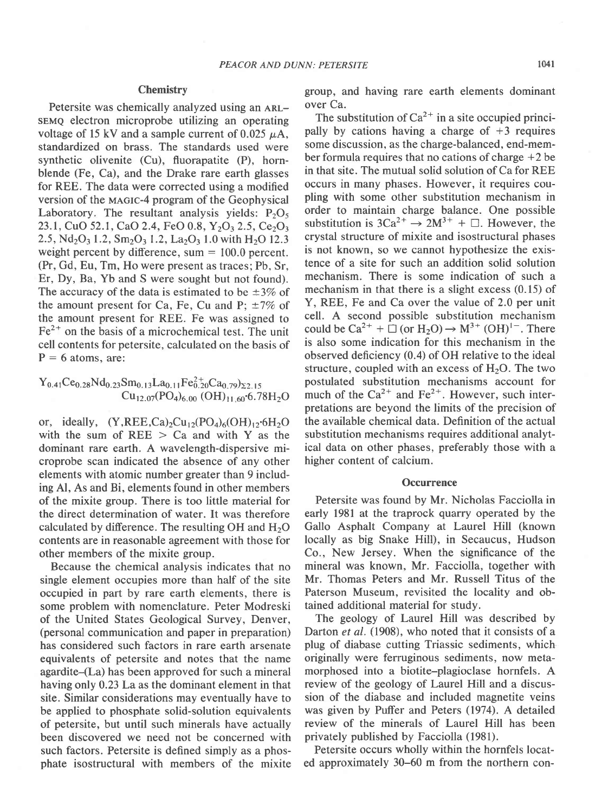#### **Chemistry**

Petersite was chemically analyzed using an ARLsemo electron microprobe utilizing an operating voltage of 15 kV and a sample current of 0.025  $\mu$ A, standardized on brass. The standards used were synthetic olivenite (Cu), fluorapatite (P), hornblende (Fe, Ca), and the Drake rare earth glasses for REE. The data were corrected using a modified version of the MAGIC-4 program of the Geophysical Laboratory. The resultant analysis yields:  $P_2O_5$ 23.1, CuO 52.1, CaO 2.4, FeO 0.8,  $Y_2O_3$  2.5, Ce<sub>2</sub>O<sub>3</sub> 2.5,  $Nd_2O_3$  1.2,  $Sm_2O_3$  1.2,  $La_2O_3$  1.0 with  $H_2O$  12.3 weight percent by difference, sum  $= 100.0$  percent. (Pr, Gd, Eu, Tm, Ho were present as traces; Pb, Sr, Er, Dy, Ba, Yb and S were sought but not found). The accuracy of the data is estimated to be  $\pm 3\%$  of the amount present for Ca, Fe, Cu and P;  $\pm 7\%$  of the amount present for REE. Fe was assigned to  $Fe<sup>2+</sup>$  on the basis of a microchemical test. The unit cell contents for petersite, calculated on the basis of  $P = 6$  atoms, are:

$$
Y_{0.41}Ce_{0.28}Nd_{0.23}Sm_{0.13}La_{0.11}Fe_{0.20}^{2+}Ca_{0.79}g_{22.15} - Cu_{12.07}(PO_4)_{6.00} (OH)_{11.60}6.78H_2O
$$

or, ideally,  $(Y,REE, Ca)_{2}Cu_{12}(PO_{4})_{6}(OH)_{12}6H_{2}O$ with the sum of  $REE$  > Ca and with Y as the dominant rare earth. A wavelength-dispersive microprobe scan indicated the absence of any other elements with atomic number greater than 9 including Al, As and Bi, elements found in other members of the mixite group. There is too little material for the direct determination of water. It was therefore calculated by difference. The resulting  $OH$  and  $H<sub>2</sub>O$ contents are in reasonable agreement with those for other members of the mixite group.

Because the chemical analysis indicates that no single element occupies more than half of the site occupied in part by rare earth elements, there is some problem with nomenclature. Peter Modreski of the United States Geological Survey, Denver, (personal communication and paper in preparation) has considered such factors in rare earth arsenate equivalents of petersite and notes that the name agardite-(La) has been approved for such a mineral having only 0.23 La as the dominant element in that site. Similar considerations may eventually have to be applied to phosphate solid-solution equivalents of petersite, but until such minerals have actually been discovered we need not be concerned with such factors. Petersite is defined simply as a phosphate isostructural with members of the mixite group, and having rare earth elements dominant over Ca.

The substitution of  $Ca^{2+}$  in a site occupied principally by cations having a charge of  $+3$  requires some discussion, as the charge-balanced, end-member formula requires that no cations of charge  $+2$  be in that site. The mutual solid solution of Ca for REE occurs in many phases. However, it requires coupling with some other substitution mechanism in order to maintain charge balance. One possible substitution is  $3Ca^{2+} \rightarrow 2M^{3+} + \square$ . However, the crystal structure of mixite and isostructural phases is not known, so we cannot hypothesize the existence of a site for such an addition solid solution mechanism. There is some indication of such a mechanism in that there is a slight excess (0.15) of Y, REE, Fe and Ca over the value of 2.0 per unit cell. A second possible substitution mechanism could be  $Ca^{2+} + \Box$  (or  $H_2O$ )  $\rightarrow M^{3+} (OH)^{1-}$ . There is also some indication for this mechanism in the observed deficiency (0.4) of OH relative to the ideal structure, coupled with an excess of  $H<sub>2</sub>O$ . The two postulated substitution mechanisms account for much of the  $Ca^{2+}$  and  $Fe^{2+}$ . However, such interpretations are beyond the limits of the precision of the available chemical data. Definition of the actual substitution mechanisms requires additional analytical data on other phases, preferably those with a higher content of calcium.

### **Occurrence**

Petersite was found by Mr. Nicholas Facciolla in early 1981 at the traprock quarry operated by the Gallo Asphalt Company at Laurel Hill (known locally as big Snake Hill), in Secaucus, Hudson Co., New Jersey. When the significance of the mineral was known, Mr. Facciolla, together with Mr. Thomas Peters and Mr. Russell Titus of the Paterson Museum, revisited the locality and obtained additional material for study.

The geology of Laurel Hill was described by Darton *et al.* (1908), who noted that it consists of a plug of diabase cutting Triassic sediments, which originally were ferruginous sediments, now metamorphosed into a biotite-plagioclase hornfels. A review of the geology of Laurel Hill and a discussion of the diabase and included magnetite veins was given by Puffer and Peters (1974). A detailed review of the minerals of Laurel Hill has been privately published by Facciolla (1981).

Petersite occurs wholly within the hornfels located approximately 30-60 m from the northern con